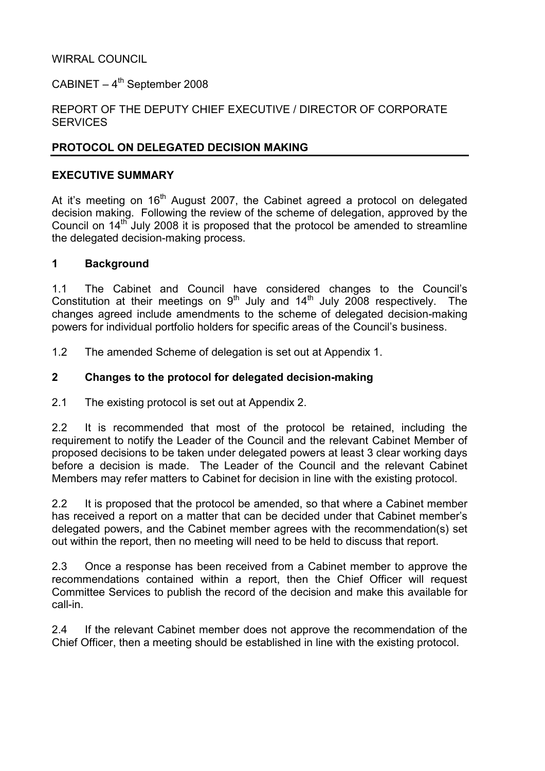### WIRRAL COUNCIL

CABINET –  $4^{th}$  September 2008

### REPORT OF THE DEPUTY CHIEF EXECUTIVE / DIRECTOR OF CORPORATE **SERVICES**

### PROTOCOL ON DELEGATED DECISION MAKING

### EXECUTIVE SUMMARY

At it's meeting on  $16<sup>th</sup>$  August 2007, the Cabinet agreed a protocol on delegated decision making. Following the review of the scheme of delegation, approved by the Council on 14<sup>th</sup> July 2008 it is proposed that the protocol be amended to streamline the delegated decision-making process.

#### 1 Background

1.1 The Cabinet and Council have considered changes to the Council's Constitution at their meetings on  $9^{th}$  July and  $14^{th}$  July 2008 respectively. The changes agreed include amendments to the scheme of delegated decision-making powers for individual portfolio holders for specific areas of the Council's business.

1.2 The amended Scheme of delegation is set out at Appendix 1.

### 2 Changes to the protocol for delegated decision-making

2.1 The existing protocol is set out at Appendix 2.

2.2 It is recommended that most of the protocol be retained, including the requirement to notify the Leader of the Council and the relevant Cabinet Member of proposed decisions to be taken under delegated powers at least 3 clear working days before a decision is made. The Leader of the Council and the relevant Cabinet Members may refer matters to Cabinet for decision in line with the existing protocol.

2.2 It is proposed that the protocol be amended, so that where a Cabinet member has received a report on a matter that can be decided under that Cabinet member's delegated powers, and the Cabinet member agrees with the recommendation(s) set out within the report, then no meeting will need to be held to discuss that report.

2.3 Once a response has been received from a Cabinet member to approve the recommendations contained within a report, then the Chief Officer will request Committee Services to publish the record of the decision and make this available for call-in.

2.4 If the relevant Cabinet member does not approve the recommendation of the Chief Officer, then a meeting should be established in line with the existing protocol.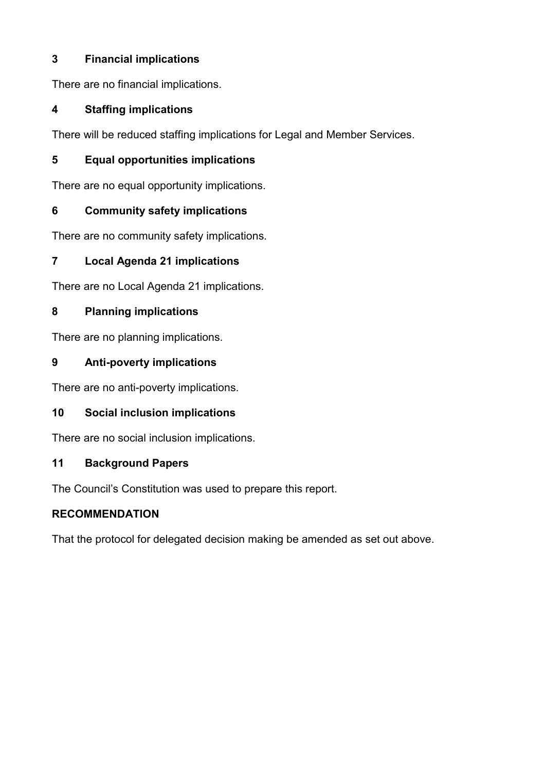# 3 Financial implications

There are no financial implications.

# 4 Staffing implications

There will be reduced staffing implications for Legal and Member Services.

# 5 Equal opportunities implications

There are no equal opportunity implications.

# 6 Community safety implications

There are no community safety implications.

# 7 Local Agenda 21 implications

There are no Local Agenda 21 implications.

# 8 Planning implications

There are no planning implications.

# 9 Anti-poverty implications

There are no anti-poverty implications.

# 10 Social inclusion implications

There are no social inclusion implications.

# 11 Background Papers

The Council's Constitution was used to prepare this report.

# RECOMMENDATION

That the protocol for delegated decision making be amended as set out above.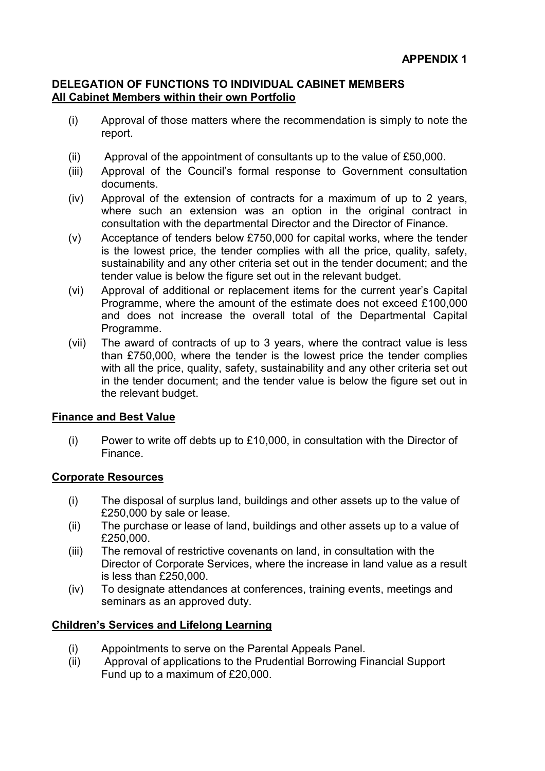### DELEGATION OF FUNCTIONS TO INDIVIDUAL CABINET MEMBERS All Cabinet Members within their own Portfolio

- (i) Approval of those matters where the recommendation is simply to note the report.
- (ii) Approval of the appointment of consultants up to the value of £50,000.
- (iii) Approval of the Council's formal response to Government consultation documents.
- (iv) Approval of the extension of contracts for a maximum of up to 2 years, where such an extension was an option in the original contract in consultation with the departmental Director and the Director of Finance.
- (v) Acceptance of tenders below £750,000 for capital works, where the tender is the lowest price, the tender complies with all the price, quality, safety, sustainability and any other criteria set out in the tender document; and the tender value is below the figure set out in the relevant budget.
- (vi) Approval of additional or replacement items for the current year's Capital Programme, where the amount of the estimate does not exceed £100,000 and does not increase the overall total of the Departmental Capital Programme.
- (vii) The award of contracts of up to 3 years, where the contract value is less than £750,000, where the tender is the lowest price the tender complies with all the price, quality, safety, sustainability and any other criteria set out in the tender document; and the tender value is below the figure set out in the relevant budget.

## Finance and Best Value

(i) Power to write off debts up to £10,000, in consultation with the Director of Finance.

## Corporate Resources

- (i) The disposal of surplus land, buildings and other assets up to the value of £250,000 by sale or lease.
- (ii) The purchase or lease of land, buildings and other assets up to a value of £250,000.
- (iii) The removal of restrictive covenants on land, in consultation with the Director of Corporate Services, where the increase in land value as a result is less than £250,000.
- (iv) To designate attendances at conferences, training events, meetings and seminars as an approved duty.

## Children's Services and Lifelong Learning

- (i) Appointments to serve on the Parental Appeals Panel.
- (ii) Approval of applications to the Prudential Borrowing Financial Support Fund up to a maximum of £20,000.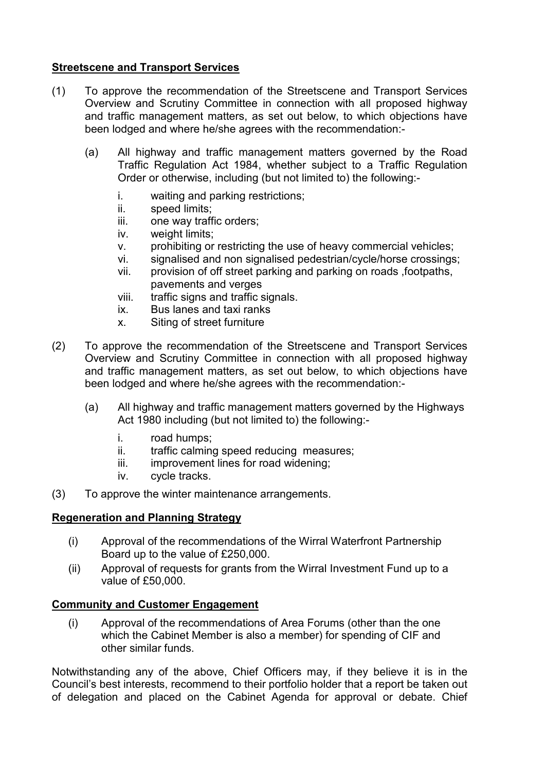### Streetscene and Transport Services

- (1) To approve the recommendation of the Streetscene and Transport Services Overview and Scrutiny Committee in connection with all proposed highway and traffic management matters, as set out below, to which objections have been lodged and where he/she agrees with the recommendation:-
	- (a) All highway and traffic management matters governed by the Road Traffic Regulation Act 1984, whether subject to a Traffic Regulation Order or otherwise, including (but not limited to) the following:
		- i. waiting and parking restrictions;
		- ii. speed limits;
		- iii. one way traffic orders;
		- iv. weight limits;
		- v. prohibiting or restricting the use of heavy commercial vehicles;
		- vi. signalised and non signalised pedestrian/cycle/horse crossings;
		- vii. provision of off street parking and parking on roads ,footpaths, pavements and verges
		- viii. traffic signs and traffic signals.
		- ix. Bus lanes and taxi ranks
		- x. Siting of street furniture
- (2) To approve the recommendation of the Streetscene and Transport Services Overview and Scrutiny Committee in connection with all proposed highway and traffic management matters, as set out below, to which objections have been lodged and where he/she agrees with the recommendation:-
	- (a) All highway and traffic management matters governed by the Highways Act 1980 including (but not limited to) the following:
		- i. road humps;
		- ii. traffic calming speed reducing measures;
		- iii. improvement lines for road widening;
		- iv. cycle tracks.
- (3) To approve the winter maintenance arrangements.

### Regeneration and Planning Strategy

- (i) Approval of the recommendations of the Wirral Waterfront Partnership Board up to the value of £250,000.
- (ii) Approval of requests for grants from the Wirral Investment Fund up to a value of £50,000.

### Community and Customer Engagement

(i) Approval of the recommendations of Area Forums (other than the one which the Cabinet Member is also a member) for spending of CIF and other similar funds.

Notwithstanding any of the above, Chief Officers may, if they believe it is in the Council's best interests, recommend to their portfolio holder that a report be taken out of delegation and placed on the Cabinet Agenda for approval or debate. Chief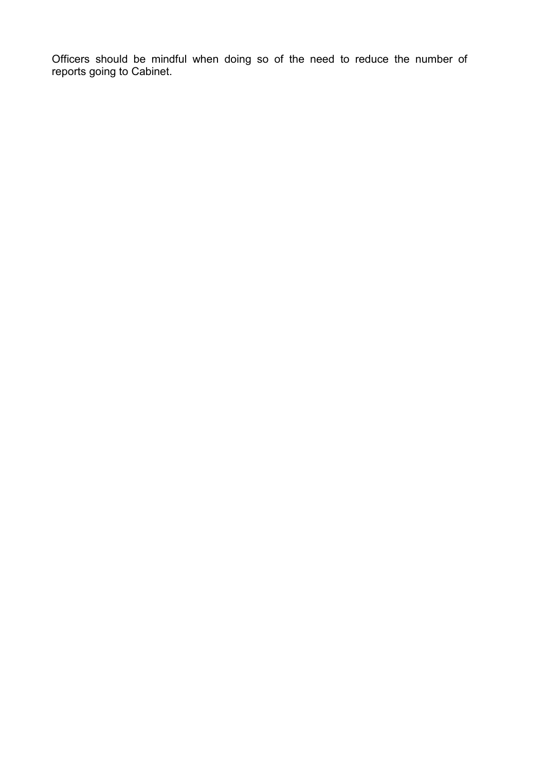Officers should be mindful when doing so of the need to reduce the number of reports going to Cabinet.